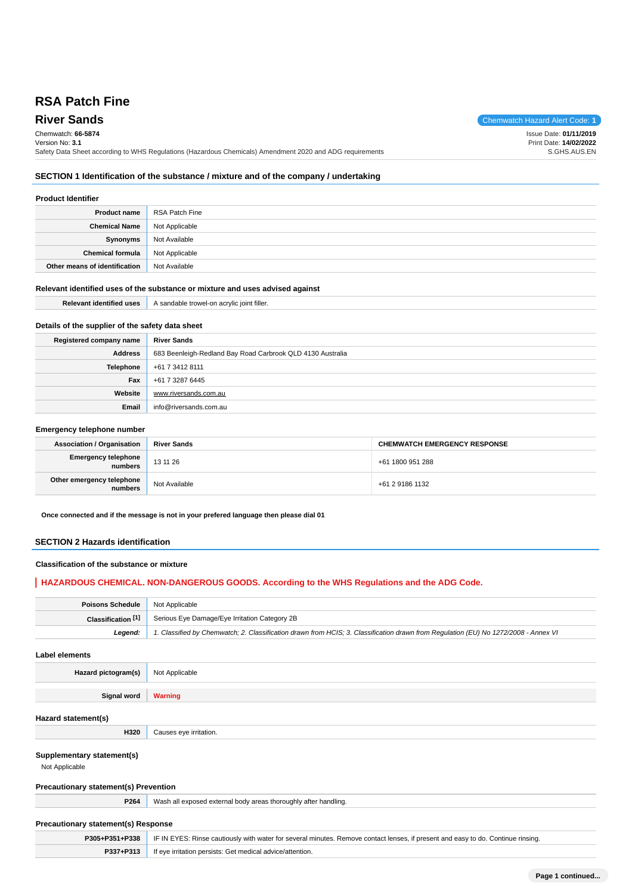# **RSA Patch Fine**

**River Sands** Chemwatch Hazard Alert Code: **1** Chemwatch: **66-5874**

Version No: **3.1** Safety Data Sheet according to WHS Regulations (Hazardous Chemicals) Amendment 2020 and ADG requirements Print Date: **14/02/2022** S.GHS.AUS.EN

### **SECTION 1 Identification of the substance / mixture and of the company / undertaking**

#### **Product Identifier**

| <b>Product name</b>           | RSA Patch Fine |
|-------------------------------|----------------|
| <b>Chemical Name</b>          | Not Applicable |
| Synonyms                      | Not Available  |
| <b>Chemical formula</b>       | Not Applicable |
| Other means of identification | Not Available  |

#### **Relevant identified uses of the substance or mixture and uses advised against**

|                                                  | <b>Relevant identified uses</b> A sandable trowel-on acrylic joint filler. |
|--------------------------------------------------|----------------------------------------------------------------------------|
|                                                  |                                                                            |
| Details of the supplier of the safety data sheet |                                                                            |

| Registered company name | <b>River Sands</b>                                         |
|-------------------------|------------------------------------------------------------|
| <b>Address</b>          | 683 Beenleigh-Redland Bay Road Carbrook QLD 4130 Australia |
| Telephone               | +61 7 3412 8111                                            |
| <b>Fax</b>              | +61 7 3287 6445                                            |
| Website                 | www.riversands.com.au                                      |
| Email                   | info@riversands.com.au                                     |

#### **Emergency telephone number**

| <b>Association / Organisation</b>    | <b>River Sands</b> | <b>CHEMWATCH EMERGENCY RESPONSE</b> |
|--------------------------------------|--------------------|-------------------------------------|
| Emergency telephone<br>numbers       | 13 11 26           | +61 1800 951 288                    |
| Other emergency telephone<br>numbers | Not Available      | +61 2 9186 1132                     |

**Once connected and if the message is not in your prefered language then please dial 01**

#### **SECTION 2 Hazards identification**

#### **Classification of the substance or mixture**

### **HAZARDOUS CHEMICAL. NON-DANGEROUS GOODS. According to the WHS Regulations and the ADG Code.**

| <b>Poisons Schedule</b> Not Applicable |                                                                                                                                     |
|----------------------------------------|-------------------------------------------------------------------------------------------------------------------------------------|
| Classification <sup>[1]</sup>          | <sup>1</sup> Serious Eye Damage/Eye Irritation Category 2B                                                                          |
| Leaend:                                | 1. Classified by Chemwatch; 2. Classification drawn from HCIS; 3. Classification drawn from Requlation (EU) No 1272/2008 - Annex VI |

**Label elements**

**Hazard pictogram(s)** Not Applicable

**Signal word Warning**

#### **Hazard statement(s)**

**Supplementary statement(s)**

Not Applicable

### **Precautionary statement(s) Prevention**

**H320** Causes eye irritation.

**P264** Wash all exposed external body areas thoroughly after handling.

## **Precautionary statement(s) Response**

|           | <b>P305+P351+P338</b> IF IN EYES: Rinse cautiously with water for several minutes. Remove contact lenses, if present and easy to do. Continue rinsing. |
|-----------|--------------------------------------------------------------------------------------------------------------------------------------------------------|
| P337+P313 | If eye irritation persists: Get medical advice/attention.                                                                                              |

Issue Date: **01/11/2019**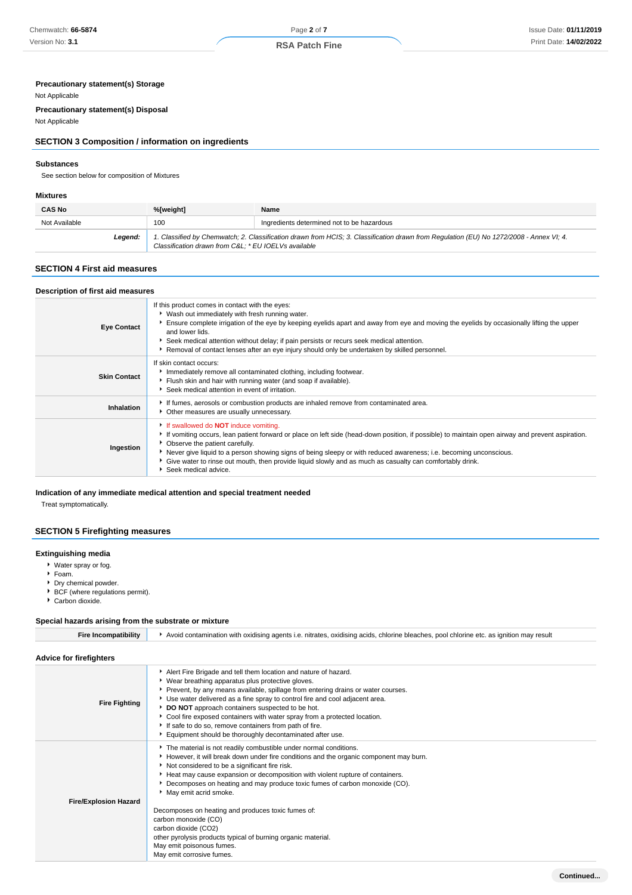### **Precautionary statement(s) Storage**

#### Not Applicable

**Precautionary statement(s) Disposal**

Not Applicable

### **SECTION 3 Composition / information on ingredients**

#### **Substances**

See section below for composition of Mixtures

#### **Mixtures**

| <b>CAS No</b> | %[weight]                                           | Name                                                                                                                                    |
|---------------|-----------------------------------------------------|-----------------------------------------------------------------------------------------------------------------------------------------|
| Not Available | 100                                                 | Ingredients determined not to be hazardous                                                                                              |
| Leaend:       | Classification drawn from C&L * EU IOELVs available | 1. Classified by Chemwatch; 2. Classification drawn from HCIS; 3. Classification drawn from Regulation (EU) No 1272/2008 - Annex VI; 4. |

### **SECTION 4 First aid measures**

| Description of first aid measures |                                                                                                                                                                                                                                                                                                                                                                                                                                                                                                  |
|-----------------------------------|--------------------------------------------------------------------------------------------------------------------------------------------------------------------------------------------------------------------------------------------------------------------------------------------------------------------------------------------------------------------------------------------------------------------------------------------------------------------------------------------------|
| <b>Eye Contact</b>                | If this product comes in contact with the eyes:<br>▶ Wash out immediately with fresh running water.<br>Ensure complete irrigation of the eye by keeping eyelids apart and away from eye and moving the eyelids by occasionally lifting the upper<br>and lower lids.<br>▶ Seek medical attention without delay; if pain persists or recurs seek medical attention.<br>Removal of contact lenses after an eye injury should only be undertaken by skilled personnel.                               |
| <b>Skin Contact</b>               | If skin contact occurs:<br>Immediately remove all contaminated clothing, including footwear.<br>Fiush skin and hair with running water (and soap if available).<br>Seek medical attention in event of irritation.                                                                                                                                                                                                                                                                                |
| Inhalation                        | If fumes, aerosols or combustion products are inhaled remove from contaminated area.<br>• Other measures are usually unnecessary.                                                                                                                                                                                                                                                                                                                                                                |
| Ingestion                         | If swallowed do <b>NOT</b> induce vomiting.<br>If vomiting occurs, lean patient forward or place on left side (head-down position, if possible) to maintain open airway and prevent aspiration.<br>• Observe the patient carefully.<br>▶ Never give liquid to a person showing signs of being sleepy or with reduced awareness; i.e. becoming unconscious.<br>• Give water to rinse out mouth, then provide liquid slowly and as much as casualty can comfortably drink.<br>Seek medical advice. |

### **Indication of any immediate medical attention and special treatment needed**

Treat symptomatically.

### **SECTION 5 Firefighting measures**

#### **Extinguishing media**

- Water spray or fog.
- Foam.
- Dry chemical powder.
- BCF (where regulations permit).
- Carbon dioxide.

### **Special hazards arising from the substrate or mixture**

| <b>Fire Incompatibility</b>    | Avoid contamination with oxidising agents i.e. nitrates, oxidising acids, chlorine bleaches, pool chlorine etc. as ignition may result                                                                                                                                                                                                                                                                                                                                                                                                                                                                                                |
|--------------------------------|---------------------------------------------------------------------------------------------------------------------------------------------------------------------------------------------------------------------------------------------------------------------------------------------------------------------------------------------------------------------------------------------------------------------------------------------------------------------------------------------------------------------------------------------------------------------------------------------------------------------------------------|
| <b>Advice for firefighters</b> |                                                                                                                                                                                                                                                                                                                                                                                                                                                                                                                                                                                                                                       |
| <b>Fire Fighting</b>           | Alert Fire Brigade and tell them location and nature of hazard.<br>▶ Wear breathing apparatus plus protective gloves.<br>▶ Prevent, by any means available, spillage from entering drains or water courses.<br>► Use water delivered as a fine spray to control fire and cool adjacent area.<br>DO NOT approach containers suspected to be hot.<br>Cool fire exposed containers with water spray from a protected location.<br>If safe to do so, remove containers from path of fire.<br>Equipment should be thoroughly decontaminated after use.                                                                                     |
| <b>Fire/Explosion Hazard</b>   | The material is not readily combustible under normal conditions.<br>However, it will break down under fire conditions and the organic component may burn.<br>Not considered to be a significant fire risk.<br>Heat may cause expansion or decomposition with violent rupture of containers.<br>▶ Decomposes on heating and may produce toxic fumes of carbon monoxide (CO).<br>May emit acrid smoke.<br>Decomposes on heating and produces toxic fumes of:<br>carbon monoxide (CO)<br>carbon dioxide (CO2)<br>other pyrolysis products typical of burning organic material.<br>May emit poisonous fumes.<br>May emit corrosive fumes. |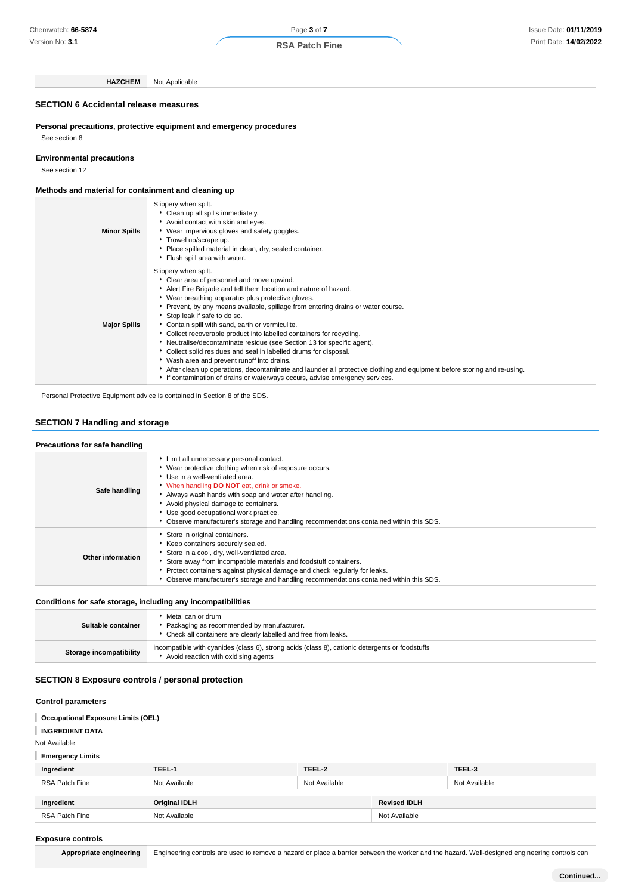Version No: **3.1**

Page **3** of **7 RSA Patch Fine**

**HAZCHEM** Not Applicable

### **SECTION 6 Accidental release measures**

**Personal precautions, protective equipment and emergency procedures** See section 8

### **Environmental precautions**

See section 12

#### **Methods and material for containment and cleaning up**

| <b>Minor Spills</b> | Slippery when spilt.<br>Clean up all spills immediately.<br>Avoid contact with skin and eyes.<br>▶ Wear impervious gloves and safety goggles.<br>Trowel up/scrape up.<br>Place spilled material in clean, dry, sealed container.<br>Flush spill area with water.                                                                                                                                                                                                                                                                                                                                                                                                                                                                                                                                                                             |
|---------------------|----------------------------------------------------------------------------------------------------------------------------------------------------------------------------------------------------------------------------------------------------------------------------------------------------------------------------------------------------------------------------------------------------------------------------------------------------------------------------------------------------------------------------------------------------------------------------------------------------------------------------------------------------------------------------------------------------------------------------------------------------------------------------------------------------------------------------------------------|
| <b>Major Spills</b> | Slippery when spilt.<br>Clear area of personnel and move upwind.<br>Alert Fire Brigade and tell them location and nature of hazard.<br>▶ Wear breathing apparatus plus protective gloves.<br>▶ Prevent, by any means available, spillage from entering drains or water course.<br>Stop leak if safe to do so.<br>Contain spill with sand, earth or vermiculite.<br>▶ Collect recoverable product into labelled containers for recycling.<br>Neutralise/decontaminate residue (see Section 13 for specific agent).<br>Collect solid residues and seal in labelled drums for disposal.<br>• Wash area and prevent runoff into drains.<br>After clean up operations, decontaminate and launder all protective clothing and equipment before storing and re-using.<br>If contamination of drains or waterways occurs, advise emergency services. |

Personal Protective Equipment advice is contained in Section 8 of the SDS.

#### **SECTION 7 Handling and storage**

| Precautions for safe handling |                                                                                                                                                                                                                                                                                                                                                                                                                         |
|-------------------------------|-------------------------------------------------------------------------------------------------------------------------------------------------------------------------------------------------------------------------------------------------------------------------------------------------------------------------------------------------------------------------------------------------------------------------|
| Safe handling                 | Limit all unnecessary personal contact.<br>Wear protective clothing when risk of exposure occurs.<br>▶ Use in a well-ventilated area.<br>V When handling DO NOT eat, drink or smoke.<br>Always wash hands with soap and water after handling.<br>Avoid physical damage to containers.<br>Use good occupational work practice.<br>Observe manufacturer's storage and handling recommendations contained within this SDS. |
| <b>Other information</b>      | Store in original containers.<br>Keep containers securely sealed.<br>Store in a cool, dry, well-ventilated area.<br>Store away from incompatible materials and foodstuff containers.<br>Protect containers against physical damage and check regularly for leaks.<br>Observe manufacturer's storage and handling recommendations contained within this SDS.                                                             |

#### **Conditions for safe storage, including any incompatibilities**

| Suitable container      | ▶ Metal can or drum<br>▶ Packaging as recommended by manufacturer.<br>• Check all containers are clearly labelled and free from leaks.  |
|-------------------------|-----------------------------------------------------------------------------------------------------------------------------------------|
| Storage incompatibility | incompatible with cyanides (class 6), strong acids (class 8), cationic detergents or foodstuffs<br>Avoid reaction with oxidising agents |

### **SECTION 8 Exposure controls / personal protection**

#### **Control parameters**

**Occupational Exposure Limits (OEL) INGREDIENT DATA** Not Available **Emergency Limits Ingredient TEEL-1 TEEL-2 TEEL-3** RSA Patch Fine Not Available Not Available Not Available **Ingredient Original IDLH Revised IDLH** RSA Patch Fine Not Available Not Available Not Available Not Available Not Available

#### **Exposure controls**

|  | Appropriate engineering   Engineering controls are used to remove a hazard or place a barrier between the worker and the hazard. Well-designed engineering controls can |
|--|-------------------------------------------------------------------------------------------------------------------------------------------------------------------------|
|--|-------------------------------------------------------------------------------------------------------------------------------------------------------------------------|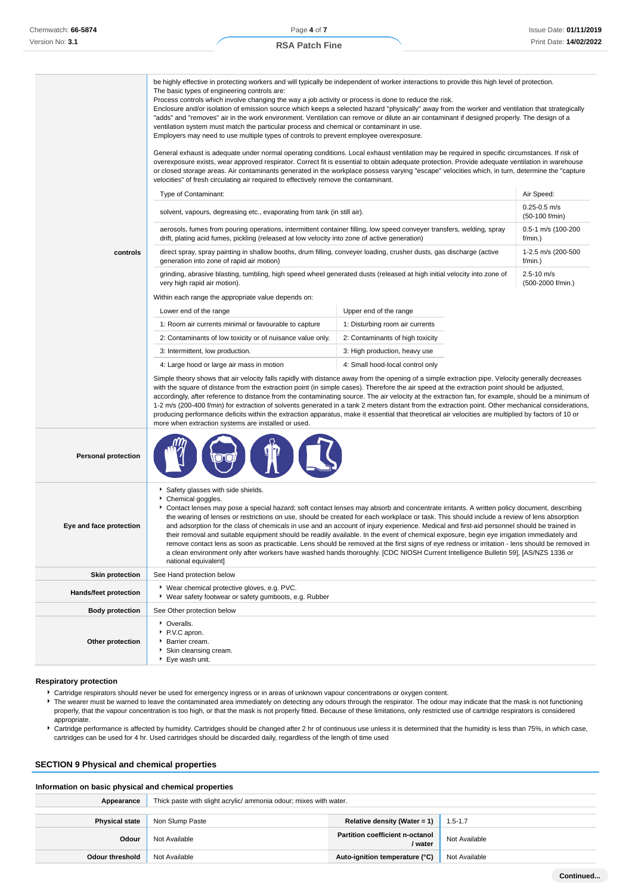|                            | be highly effective in protecting workers and will typically be independent of worker interactions to provide this high level of protection.<br>The basic types of engineering controls are:<br>Process controls which involve changing the way a job activity or process is done to reduce the risk.<br>Enclosure and/or isolation of emission source which keeps a selected hazard "physically" away from the worker and ventilation that strategically<br>"adds" and "removes" air in the work environment. Ventilation can remove or dilute an air contaminant if designed properly. The design of a<br>ventilation system must match the particular process and chemical or contaminant in use.<br>Employers may need to use multiple types of controls to prevent employee overexposure.<br>General exhaust is adequate under normal operating conditions. Local exhaust ventilation may be required in specific circumstances. If risk of<br>overexposure exists, wear approved respirator. Correct fit is essential to obtain adequate protection. Provide adequate ventilation in warehouse<br>or closed storage areas. Air contaminants generated in the workplace possess varying "escape" velocities which, in turn, determine the "capture<br>velocities" of fresh circulating air required to effectively remove the contaminant. |                                  |                                     |  |
|----------------------------|-------------------------------------------------------------------------------------------------------------------------------------------------------------------------------------------------------------------------------------------------------------------------------------------------------------------------------------------------------------------------------------------------------------------------------------------------------------------------------------------------------------------------------------------------------------------------------------------------------------------------------------------------------------------------------------------------------------------------------------------------------------------------------------------------------------------------------------------------------------------------------------------------------------------------------------------------------------------------------------------------------------------------------------------------------------------------------------------------------------------------------------------------------------------------------------------------------------------------------------------------------------------------------------------------------------------------------------------------|----------------------------------|-------------------------------------|--|
|                            | Type of Contaminant:                                                                                                                                                                                                                                                                                                                                                                                                                                                                                                                                                                                                                                                                                                                                                                                                                                                                                                                                                                                                                                                                                                                                                                                                                                                                                                                            |                                  | Air Speed:                          |  |
|                            | solvent, vapours, degreasing etc., evaporating from tank (in still air).                                                                                                                                                                                                                                                                                                                                                                                                                                                                                                                                                                                                                                                                                                                                                                                                                                                                                                                                                                                                                                                                                                                                                                                                                                                                        |                                  | $0.25 - 0.5$ m/s<br>(50-100 f/min)  |  |
|                            | aerosols, fumes from pouring operations, intermittent container filling, low speed conveyer transfers, welding, spray<br>drift, plating acid fumes, pickling (released at low velocity into zone of active generation)                                                                                                                                                                                                                                                                                                                                                                                                                                                                                                                                                                                                                                                                                                                                                                                                                                                                                                                                                                                                                                                                                                                          |                                  | 0.5-1 m/s (100-200<br>f/min.)       |  |
| controls                   | direct spray, spray painting in shallow booths, drum filling, conveyer loading, crusher dusts, gas discharge (active<br>generation into zone of rapid air motion)                                                                                                                                                                                                                                                                                                                                                                                                                                                                                                                                                                                                                                                                                                                                                                                                                                                                                                                                                                                                                                                                                                                                                                               |                                  | 1-2.5 m/s (200-500<br>f/min.)       |  |
|                            | grinding, abrasive blasting, tumbling, high speed wheel generated dusts (released at high initial velocity into zone of<br>very high rapid air motion).                                                                                                                                                                                                                                                                                                                                                                                                                                                                                                                                                                                                                                                                                                                                                                                                                                                                                                                                                                                                                                                                                                                                                                                         |                                  | $2.5 - 10$ m/s<br>(500-2000 f/min.) |  |
|                            | Within each range the appropriate value depends on:                                                                                                                                                                                                                                                                                                                                                                                                                                                                                                                                                                                                                                                                                                                                                                                                                                                                                                                                                                                                                                                                                                                                                                                                                                                                                             |                                  |                                     |  |
|                            | Lower end of the range                                                                                                                                                                                                                                                                                                                                                                                                                                                                                                                                                                                                                                                                                                                                                                                                                                                                                                                                                                                                                                                                                                                                                                                                                                                                                                                          | Upper end of the range           |                                     |  |
|                            | 1: Room air currents minimal or favourable to capture                                                                                                                                                                                                                                                                                                                                                                                                                                                                                                                                                                                                                                                                                                                                                                                                                                                                                                                                                                                                                                                                                                                                                                                                                                                                                           | 1: Disturbing room air currents  |                                     |  |
|                            | 2: Contaminants of low toxicity or of nuisance value only.                                                                                                                                                                                                                                                                                                                                                                                                                                                                                                                                                                                                                                                                                                                                                                                                                                                                                                                                                                                                                                                                                                                                                                                                                                                                                      | 2: Contaminants of high toxicity |                                     |  |
|                            | 3: Intermittent, low production.                                                                                                                                                                                                                                                                                                                                                                                                                                                                                                                                                                                                                                                                                                                                                                                                                                                                                                                                                                                                                                                                                                                                                                                                                                                                                                                | 3: High production, heavy use    |                                     |  |
|                            | 4: Large hood or large air mass in motion                                                                                                                                                                                                                                                                                                                                                                                                                                                                                                                                                                                                                                                                                                                                                                                                                                                                                                                                                                                                                                                                                                                                                                                                                                                                                                       | 4: Small hood-local control only |                                     |  |
|                            | Simple theory shows that air velocity falls rapidly with distance away from the opening of a simple extraction pipe. Velocity generally decreases<br>with the square of distance from the extraction point (in simple cases). Therefore the air speed at the extraction point should be adjusted,<br>accordingly, after reference to distance from the contaminating source. The air velocity at the extraction fan, for example, should be a minimum of<br>1-2 m/s (200-400 f/min) for extraction of solvents generated in a tank 2 meters distant from the extraction point. Other mechanical considerations,<br>producing performance deficits within the extraction apparatus, make it essential that theoretical air velocities are multiplied by factors of 10 or<br>more when extraction systems are installed or used.                                                                                                                                                                                                                                                                                                                                                                                                                                                                                                                  |                                  |                                     |  |
| <b>Personal protection</b> |                                                                                                                                                                                                                                                                                                                                                                                                                                                                                                                                                                                                                                                                                                                                                                                                                                                                                                                                                                                                                                                                                                                                                                                                                                                                                                                                                 |                                  |                                     |  |
| Eye and face protection    | Safety glasses with side shields.<br>Chemical goggles.<br>Contact lenses may pose a special hazard; soft contact lenses may absorb and concentrate irritants. A written policy document, describing<br>the wearing of lenses or restrictions on use, should be created for each workplace or task. This should include a review of lens absorption<br>and adsorption for the class of chemicals in use and an account of injury experience. Medical and first-aid personnel should be trained in<br>their removal and suitable equipment should be readily available. In the event of chemical exposure, begin eye irrigation immediately and<br>remove contact lens as soon as practicable. Lens should be removed at the first signs of eye redness or irritation - lens should be removed in<br>a clean environment only after workers have washed hands thoroughly. [CDC NIOSH Current Intelligence Bulletin 59], [AS/NZS 1336 or<br>national equivalent]                                                                                                                                                                                                                                                                                                                                                                                   |                                  |                                     |  |
| <b>Skin protection</b>     | See Hand protection below                                                                                                                                                                                                                                                                                                                                                                                                                                                                                                                                                                                                                                                                                                                                                                                                                                                                                                                                                                                                                                                                                                                                                                                                                                                                                                                       |                                  |                                     |  |
| Hands/feet protection      | ▶ Wear chemical protective gloves, e.g. PVC.<br>▶ Wear safety footwear or safety gumboots, e.g. Rubber                                                                                                                                                                                                                                                                                                                                                                                                                                                                                                                                                                                                                                                                                                                                                                                                                                                                                                                                                                                                                                                                                                                                                                                                                                          |                                  |                                     |  |
| <b>Body protection</b>     | See Other protection below                                                                                                                                                                                                                                                                                                                                                                                                                                                                                                                                                                                                                                                                                                                                                                                                                                                                                                                                                                                                                                                                                                                                                                                                                                                                                                                      |                                  |                                     |  |
| Other protection           | • Overalls.<br>P.V.C apron.<br>Barrier cream.<br>Skin cleansing cream.<br>Eye wash unit.                                                                                                                                                                                                                                                                                                                                                                                                                                                                                                                                                                                                                                                                                                                                                                                                                                                                                                                                                                                                                                                                                                                                                                                                                                                        |                                  |                                     |  |

#### **Respiratory protection**

- Cartridge respirators should never be used for emergency ingress or in areas of unknown vapour concentrations or oxygen content.
- The wearer must be warned to leave the contaminated area immediately on detecting any odours through the respirator. The odour may indicate that the mask is not functioning properly, that the vapour concentration is too high, or that the mask is not properly fitted. Because of these limitations, only restricted use of cartridge respirators is considered appropriate.
- Cartridge performance is affected by humidity. Cartridges should be changed after 2 hr of continuous use unless it is determined that the humidity is less than 75%, in which case, cartridges can be used for 4 hr. Used cartridges should be discarded daily, regardless of the length of time used

### **SECTION 9 Physical and chemical properties**

#### **Information on basic physical and chemical properties**

| Appearance            | Thick paste with slight acrylic/ ammonia odour; mixes with water. |                                                   |               |
|-----------------------|-------------------------------------------------------------------|---------------------------------------------------|---------------|
| <b>Physical state</b> | Non Slump Paste                                                   | Relative density (Water = 1)                      | $1.5 - 1.7$   |
| Odour                 | Not Available                                                     | <b>Partition coefficient n-octanol</b><br>/ water | Not Available |
| Odour threshold       | Not Available                                                     | Auto-ignition temperature (°C)                    | Not Available |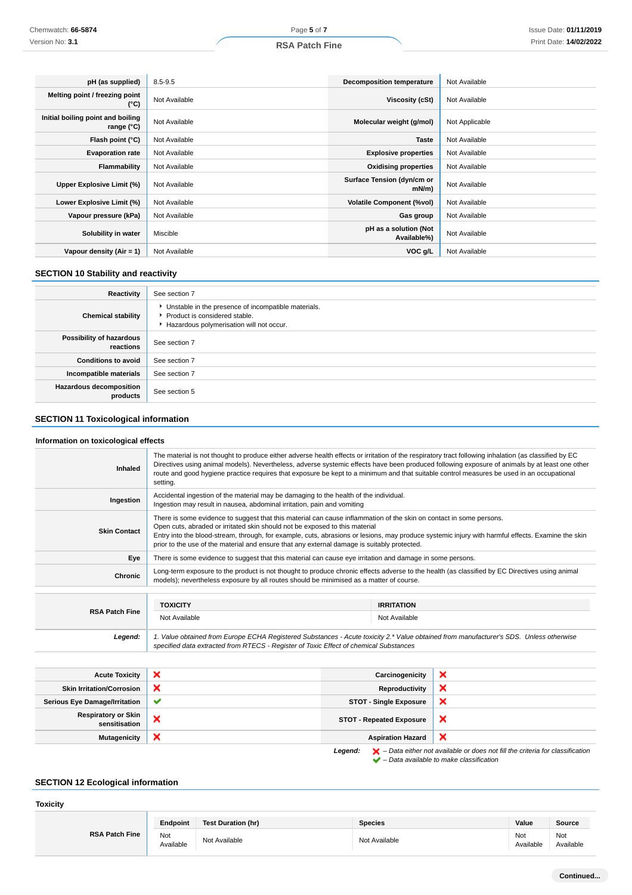| pH (as supplied)                                | $8.5 - 9.5$   | <b>Decomposition temperature</b>     | Not Available  |
|-------------------------------------------------|---------------|--------------------------------------|----------------|
| Melting point / freezing point<br>(°C)          | Not Available | Viscosity (cSt)                      | Not Available  |
| Initial boiling point and boiling<br>range (°C) | Not Available | Molecular weight (g/mol)             | Not Applicable |
| Flash point (°C)                                | Not Available | <b>Taste</b>                         | Not Available  |
| <b>Evaporation rate</b>                         | Not Available | <b>Explosive properties</b>          | Not Available  |
| Flammability                                    | Not Available | <b>Oxidising properties</b>          | Not Available  |
| Upper Explosive Limit (%)                       | Not Available | Surface Tension (dyn/cm or<br>mN/m   | Not Available  |
| Lower Explosive Limit (%)                       | Not Available | <b>Volatile Component (%vol)</b>     | Not Available  |
| Vapour pressure (kPa)                           | Not Available | Gas group                            | Not Available  |
| Solubility in water                             | Miscible      | pH as a solution (Not<br>Available%) | Not Available  |
| Vapour density (Air = 1)                        | Not Available | VOC g/L                              | Not Available  |

### **SECTION 10 Stability and reactivity**

| Reactivity                                 | See section 7                                                                                                                        |
|--------------------------------------------|--------------------------------------------------------------------------------------------------------------------------------------|
| <b>Chemical stability</b>                  | • Unstable in the presence of incompatible materials.<br>▶ Product is considered stable.<br>Hazardous polymerisation will not occur. |
| Possibility of hazardous<br>reactions      | See section 7                                                                                                                        |
| <b>Conditions to avoid</b>                 | See section 7                                                                                                                        |
| Incompatible materials                     | See section 7                                                                                                                        |
| <b>Hazardous decomposition</b><br>products | See section 5                                                                                                                        |

### **SECTION 11 Toxicological information**

### **Information on toxicological effects**

| <b>Inhaled</b>                              | The material is not thought to produce either adverse health effects or irritation of the respiratory tract following inhalation (as classified by EC<br>Directives using animal models). Nevertheless, adverse systemic effects have been produced following exposure of animals by at least one other<br>route and good hygiene practice requires that exposure be kept to a minimum and that suitable control measures be used in an occupational<br>setting. |                                 |                   |                                                                                                                                                                     |
|---------------------------------------------|------------------------------------------------------------------------------------------------------------------------------------------------------------------------------------------------------------------------------------------------------------------------------------------------------------------------------------------------------------------------------------------------------------------------------------------------------------------|---------------------------------|-------------------|---------------------------------------------------------------------------------------------------------------------------------------------------------------------|
| Ingestion                                   | Accidental ingestion of the material may be damaging to the health of the individual.<br>Ingestion may result in nausea, abdominal irritation, pain and vomiting                                                                                                                                                                                                                                                                                                 |                                 |                   |                                                                                                                                                                     |
| <b>Skin Contact</b>                         | There is some evidence to suggest that this material can cause inflammation of the skin on contact in some persons.<br>Open cuts, abraded or irritated skin should not be exposed to this material<br>Entry into the blood-stream, through, for example, cuts, abrasions or lesions, may produce systemic injury with harmful effects. Examine the skin<br>prior to the use of the material and ensure that any external damage is suitably protected.           |                                 |                   |                                                                                                                                                                     |
| Eye                                         | There is some evidence to suggest that this material can cause eye irritation and damage in some persons.                                                                                                                                                                                                                                                                                                                                                        |                                 |                   |                                                                                                                                                                     |
| <b>Chronic</b>                              | Long-term exposure to the product is not thought to produce chronic effects adverse to the health (as classified by EC Directives using animal<br>models); nevertheless exposure by all routes should be minimised as a matter of course.                                                                                                                                                                                                                        |                                 |                   |                                                                                                                                                                     |
|                                             |                                                                                                                                                                                                                                                                                                                                                                                                                                                                  |                                 |                   |                                                                                                                                                                     |
| <b>RSA Patch Fine</b>                       | <b>TOXICITY</b>                                                                                                                                                                                                                                                                                                                                                                                                                                                  |                                 | <b>IRRITATION</b> |                                                                                                                                                                     |
|                                             | Not Available<br>Not Available                                                                                                                                                                                                                                                                                                                                                                                                                                   |                                 |                   |                                                                                                                                                                     |
| Legend:                                     | 1. Value obtained from Europe ECHA Registered Substances - Acute toxicity 2.* Value obtained from manufacturer's SDS. Unless otherwise<br>specified data extracted from RTECS - Register of Toxic Effect of chemical Substances                                                                                                                                                                                                                                  |                                 |                   |                                                                                                                                                                     |
|                                             |                                                                                                                                                                                                                                                                                                                                                                                                                                                                  |                                 |                   |                                                                                                                                                                     |
| <b>Acute Toxicity</b>                       | ×                                                                                                                                                                                                                                                                                                                                                                                                                                                                | Carcinogenicity                 |                   | ×                                                                                                                                                                   |
| <b>Skin Irritation/Corrosion</b>            | ×                                                                                                                                                                                                                                                                                                                                                                                                                                                                | Reproductivity                  |                   | ×                                                                                                                                                                   |
| <b>Serious Eye Damage/Irritation</b>        | ✔                                                                                                                                                                                                                                                                                                                                                                                                                                                                | <b>STOT - Single Exposure</b>   |                   | ×                                                                                                                                                                   |
| <b>Respiratory or Skin</b><br>sensitisation | ×                                                                                                                                                                                                                                                                                                                                                                                                                                                                | <b>STOT - Repeated Exposure</b> |                   | ×                                                                                                                                                                   |
| <b>Mutagenicity</b>                         | ×                                                                                                                                                                                                                                                                                                                                                                                                                                                                | <b>Aspiration Hazard</b>        |                   | ×                                                                                                                                                                   |
|                                             |                                                                                                                                                                                                                                                                                                                                                                                                                                                                  | Legend:                         |                   | $\blacktriangleright$ – Data either not available or does not fill the criteria for classification<br>$\blacktriangleright$ - Data available to make classification |

### **SECTION 12 Ecological information**

#### **Toxicity**

|                       | Endpoint         | <b>Test Duration (hr)</b> | <b>Species</b> | Value            | Source           |
|-----------------------|------------------|---------------------------|----------------|------------------|------------------|
| <b>RSA Patch Fine</b> | Not<br>Available | Not Available             | Not Available  | Not<br>Available | Not<br>Available |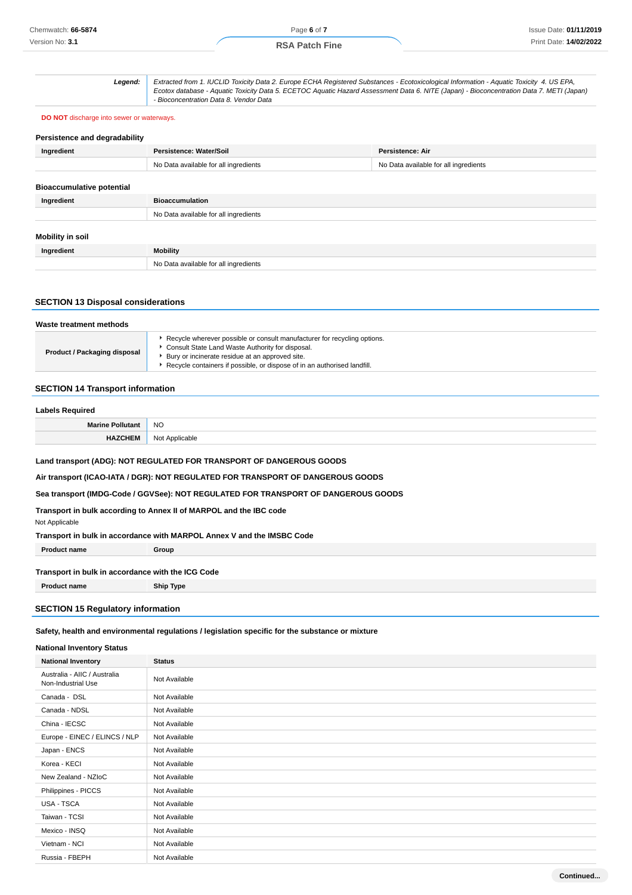#### **RSA Patch Fine**

**Legend:** Extracted from 1. IUCLID Toxicity Data 2. Europe ECHA Registered Substances - Ecotoxicological Information - Aquatic Toxicity 4. US EPA,

|                                                  | - Bioconcentration Data 8. Vendor Data | Ecotox database - Aquatic Toxicity Data 5. ECETOC Aquatic Hazard Assessment Data 6. NITE (Japan) - Bioconcentration Data 7. METI (Japan) |  |  |  |
|--------------------------------------------------|----------------------------------------|------------------------------------------------------------------------------------------------------------------------------------------|--|--|--|
| <b>DO NOT</b> discharge into sewer or waterways. |                                        |                                                                                                                                          |  |  |  |
| Persistence and degradability                    |                                        |                                                                                                                                          |  |  |  |
| Ingredient                                       | Persistence: Water/Soil                | <b>Persistence: Air</b>                                                                                                                  |  |  |  |
|                                                  | No Data available for all ingredients  | No Data available for all ingredients                                                                                                    |  |  |  |
| <b>Bioaccumulative potential</b><br>Ingredient   | <b>Bioaccumulation</b>                 |                                                                                                                                          |  |  |  |
|                                                  | No Data available for all ingredients  |                                                                                                                                          |  |  |  |
| <b>Mobility in soil</b>                          |                                        |                                                                                                                                          |  |  |  |
| Ingredient                                       | <b>Mobility</b>                        |                                                                                                                                          |  |  |  |
|                                                  | No Data available for all ingredients  |                                                                                                                                          |  |  |  |

### **SECTION 13 Disposal considerations**

| Waste treatment methods      |                                                                                                                                                                                                                                                                 |  |
|------------------------------|-----------------------------------------------------------------------------------------------------------------------------------------------------------------------------------------------------------------------------------------------------------------|--|
| Product / Packaging disposal | ▶ Recycle wherever possible or consult manufacturer for recycling options.<br>Consult State Land Waste Authority for disposal.<br>Bury or incinerate residue at an approved site.<br>▶ Recycle containers if possible, or dispose of in an authorised landfill. |  |

### **SECTION 14 Transport information**

### **Labels Required Marine Pollutant** NO **HAZCHEM** Not Applicable

**Land transport (ADG): NOT REGULATED FOR TRANSPORT OF DANGEROUS GOODS**

**Air transport (ICAO-IATA / DGR): NOT REGULATED FOR TRANSPORT OF DANGEROUS GOODS**

**Sea transport (IMDG-Code / GGVSee): NOT REGULATED FOR TRANSPORT OF DANGEROUS GOODS**

**Transport in bulk according to Annex II of MARPOL and the IBC code**

Not Applicable

**Transport in bulk in accordance with MARPOL Annex V and the IMSBC Code**

**Product name Group** 

#### **Transport in bulk in accordance with the ICG Code**

**Product name Ship Type**

### **SECTION 15 Regulatory information**

**Safety, health and environmental regulations / legislation specific for the substance or mixture**

### **National Inventory Status**

| <b>National Inventory</b>                          | <b>Status</b> |
|----------------------------------------------------|---------------|
| Australia - AIIC / Australia<br>Non-Industrial Use | Not Available |
| Canada - DSL                                       | Not Available |
| Canada - NDSL                                      | Not Available |
| China - IECSC                                      | Not Available |
| Europe - EINEC / ELINCS / NLP                      | Not Available |
| Japan - ENCS                                       | Not Available |
| Korea - KECI                                       | Not Available |
| New Zealand - NZloC                                | Not Available |
| Philippines - PICCS                                | Not Available |
| USA - TSCA                                         | Not Available |
| Taiwan - TCSI                                      | Not Available |
| Mexico - INSQ                                      | Not Available |
| Vietnam - NCI                                      | Not Available |
| Russia - FBEPH                                     | Not Available |